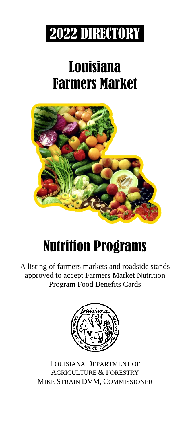

# Louisiana Farmers Market



# Nutrition Programs

A listing of farmers markets and roadside stands approved to accept Farmers Market Nutrition Program Food Benefits Cards



LOUISIANA DEPARTMENT OF AGRICULTURE & FORESTRY MIKE STRAIN DVM, COMMISSIONER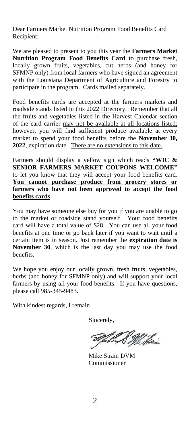Dear Farmers Market Nutrition Program Food Benefits Card Recipient:

We are pleased to present to you this year the **Farmers Market Nutrition Program Food Benefits Card** to purchase fresh, locally grown fruits, vegetables, cut herbs (and honey for SFMNP only) from local farmers who have signed an agreement with the Louisiana Department of Agriculture and Forestry to participate in the program. Cards mailed separately.

Food benefits cards are accepted at the farmers markets and roadside stands listed in this 2022 Directory. Remember that all the fruits and vegetables listed in the Harvest Calendar section of the card carrier may not be available at all locations listed; however, you will find sufficient produce available at every market to spend your food benefits before the **November 30, 2022**, expiration date. There are no extensions to this date.

Farmers should display a yellow sign which reads **"WIC & SENIOR FARMERS MARKET COUPONS WELCOME"**  to let you know that they will accept your food benefits card. **You cannot purchase produce from grocery stores or farmers who have not been approved to accept the food benefits cards**.

You may have someone else buy for you if you are unable to go to the market or roadside stand yourself. Your food benefits card will have a total value of \$28. You can use all your food benefits at one time or go back later if you want to wait until a certain item is in season. Just remember the **expiration date is November 30**, which is the last day you may use the food benefits.

We hope you enjoy our locally grown, fresh fruits, vegetables, herbs (and honey for SFMNP only) and will support your local farmers by using all your food benefits. If you have questions, please call 985-345-9483.

With kindest regards, I remain

Sincerely,

S Mil Stein

Mike Strain DVM Commissioner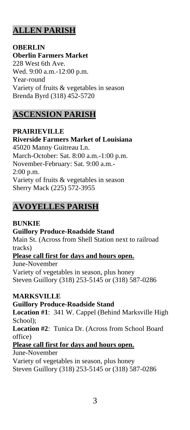# **ALLEN PARISH**

**OBERLIN Oberlin Farmers Market** 228 West 6th Ave. Wed. 9:00 a.m.-12:00 p.m. Year-round Variety of fruits & vegetables in season Brenda Byrd (318) 452-5720

# **ASCENSION PARISH**

**PRAIRIEVILLE Riverside Farmers Market of Louisiana** 45020 Manny Guitreau Ln. March-October: Sat. 8:00 a.m.-1:00 p.m. November-February: Sat. 9:00 a.m.- 2:00 p.m. Variety of fruits & vegetables in season Sherry Mack (225) 572-3955

# **AVOYELLES PARISH**

# **BUNKIE**

# **Guillory Produce-Roadside Stand**

Main St. (Across from Shell Station next to railroad tracks)

# **Please call first for days and hours open.**

June-November Variety of vegetables in season, plus honey Steven Guillory (318) 253-5145 or (318) 587-0286

# **MARKSVILLE**

# **Guillory Produce-Roadside Stand**

**Location #1**: 341 W. Cappel (Behind Marksville High School);

**Location #2**: Tunica Dr. (Across from School Board office)

# **Please call first for days and hours open.**

June-November

Variety of vegetables in season, plus honey Steven Guillory (318) 253-5145 or (318) 587-0286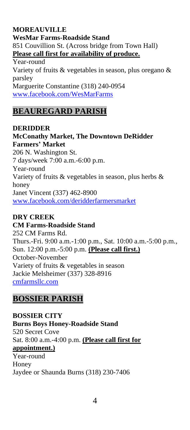# **MOREAUVILLE**

**WesMar Farms-Roadside Stand** 851 Couvillion St. (Across bridge from Town Hall) **Please call first for availability of produce.**

Year-round Variety of fruits & vegetables in season, plus oregano & parsley Marguerite Constantine (318) 240-0954 [www.facebook.com/WesMarFarms](http://www.facebook.com/WesMarFarms)

# **BEAUREGARD PARISH**

**DERIDDER McConathy Market, The Downtown DeRidder Farmers' Market** 206 N. Washington St. 7 days/week 7:00 a.m.-6:00 p.m. Year-round Variety of fruits & vegetables in season, plus herbs & honey Janet Vincent (337) 462-8900 [www.facebook.com/deridderfarmersmarket](http://www.facebook.com/deridderfarmersmarket)

# **DRY CREEK**

#### **CM Farms-Roadside Stand**

252 CM Farms Rd. Thurs.-Fri. 9:00 a.m.-1:00 p.m., Sat. 10:00 a.m.-5:00 p.m., Sun. 12:00 p.m.-5:00 p.m. **(Please call first.)** October-November Variety of fruits & vegetables in season Jackie Melsheimer (337) 328-8916 [cmfarmsllc.com](http://www.facebook.com/turnerproducellc)

# **BOSSIER PARISH**

**BOSSIER CITY Burns Boys Honey-Roadside Stand** 520 Secret Cove Sat. 8:00 a.m.-4:00 p.m. **(Please call first for appointment.)** Year-round Honey Jaydee or Shaunda Burns (318) 230-7406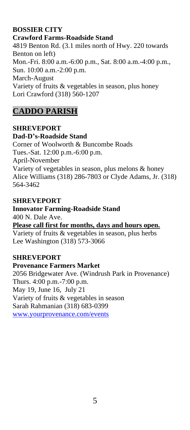# **BOSSIER CITY**

**Crawford Farms-Roadside Stand** 4819 Benton Rd. (3.1 miles north of Hwy. 220 towards Benton on left) Mon.-Fri. 8:00 a.m.-6:00 p.m., Sat. 8:00 a.m.-4:00 p.m., Sun. 10:00 a.m.-2:00 p.m. March-August Variety of fruits & vegetables in season, plus honey Lori Crawford (318) 560-1207

# **CADDO PARISH**

**SHREVEPORT Dad-D's-Roadside Stand** Corner of Woolworth & Buncombe Roads Tues.-Sat. 12:00 p.m.-6:00 p.m. April-November Variety of vegetables in season, plus melons & honey Alice Williams (318) 286-7803 or Clyde Adams, Jr. (318) 564-3462

#### **SHREVEPORT**

# **Innovator Farming-Roadside Stand**

400 N. Dale Ave.

**Please call first for months, days and hours open.**

Variety of fruits & vegetables in season, plus herbs Lee Washington (318) 573-3066

#### **SHREVEPORT**

#### **Provenance Farmers Market**

2056 Bridgewater Ave. (Windrush Park in Provenance) Thurs. 4:00 p.m.-7:00 p.m. May 19, June 16, July 21 Variety of fruits & vegetables in season Sarah Rahmanian (318) 683-0399 [www.yourprovenance.com/events](http://www.yourprovenance.com/events)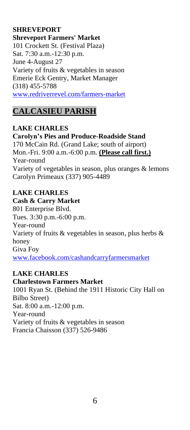### **SHREVEPORT**

**Shreveport Farmers' Market** 101 Crockett St. (Festival Plaza) Sat. 7:30 a.m.-12:30 p.m. June 4-August 27 Variety of fruits & vegetables in season Emerie Eck Gentry, Market Manager (318) 455-5788 [www.redriverrevel.com/farmers-market](http://www.redriverrevel.com/farmers-market)

# **CALCASIEU PARISH**

#### **LAKE CHARLES**

**Carolyn's Pies and Produce-Roadside Stand** 170 McCain Rd. (Grand Lake; south of airport) Mon.-Fri. 9:00 a.m.-6:00 p.m. **(Please call first.)** Year-round Variety of vegetables in season, plus oranges & lemons Carolyn Primeaux (337) 905-4489

# **LAKE CHARLES**

**Cash & Carry Market** 801 Enterprise Blvd. Tues. 3:30 p.m.-6:00 p.m. Year-round Variety of fruits & vegetables in season, plus herbs & honey Giva Foy [www.facebook.com/cashandcarryfarmersmarket](http://www.facebook.com/cashandcarryfarmersmarket)

#### **LAKE CHARLES**

#### **Charlestown Farmers Market**

1001 Ryan St. (Behind the 1911 Historic City Hall on Bilbo Street) Sat. 8:00 a.m.-12:00 p.m. Year-round Variety of fruits & vegetables in season Francia Chaisson (337) 526-9486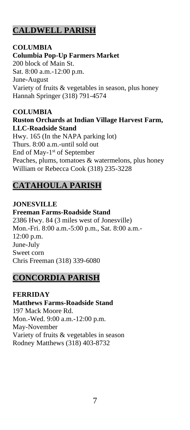# **CALDWELL PARISH**

# **COLUMBIA**

**Columbia Pop-Up Farmers Market**

200 block of Main St. Sat. 8:00 a.m.-12:00 p.m. June-August Variety of fruits & vegetables in season, plus honey Hannah Springer (318) 791-4574

#### **COLUMBIA Ruston Orchards at Indian Village Harvest Farm, LLC-Roadside Stand**

Hwy. 165 (In the NAPA parking lot) Thurs. 8:00 a.m.-until sold out End of May-1<sup>st</sup> of September Peaches, plums, tomatoes & watermelons, plus honey William or Rebecca Cook (318) 235-3228

# **CATAHOULA PARISH**

**JONESVILLE Freeman Farms-Roadside Stand** 2386 Hwy. 84 (3 miles west of Jonesville) Mon.-Fri. 8:00 a.m.-5:00 p.m., Sat. 8:00 a.m.- 12:00 p.m. June-July Sweet corn Chris Freeman (318) 339-6080

# **CONCORDIA PARISH**

**FERRIDAY Matthews Farms-Roadside Stand** 197 Mack Moore Rd. Mon.-Wed. 9:00 a.m.-12:00 p.m. May-November Variety of fruits & vegetables in season Rodney Matthews (318) 403-8732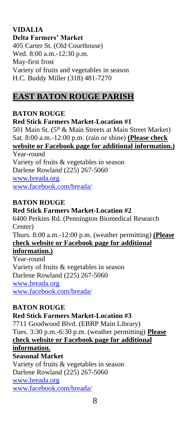#### **VIDALIA Delta Farmers' Market** 405 Carter St. (Old Courthouse) Wed. 8:00 a.m.-12:30 p.m. May-first frost Variety of fruits and vegetables in season H.C. Buddy Miller (318) 481-7270

# **EAST BATON ROUGE PARISH**

# **BATON ROUGE**

#### **Red Stick Farmers Market-Location #1**

501 Main St. (5<sup>th</sup> & Main Streets at Main Street Market) Sat. 8:00 a.m.-12:00 p.m. (rain or shine) **(Please check website or Facebook page for additional information.)**

Year-round Variety of fruits & vegetables in season Darlene Rowland (225) 267-5060 [www.breada.org](http://www.breada.org/) [www.facebook.com/breada/](../Downloads/www.facebook.com/breada/)

#### **BATON ROUGE**

**Red Stick Farmers Market-Location #2** 6400 Perkins Rd. (Pennington Biomedical Research Center) Thurs. 8:00 a.m.-12:00 p.m. (weather permitting) **(Please check website or Facebook page for additional information.)** Year-round Variety of fruits & vegetables in season Darlene Rowland (225) 267-5060 [www.breada.org](http://www.breada.org/) <www.facebook.com/breada/>

# **BATON ROUGE**

**Red Stick Farmers Market-Location #3** 7711 Goodwood Blvd. (EBRP Main Library) Tues. 3:30 p.m.-6:30 p.m. (weather permitting) **Please check website or Facebook page for additional information. Seasonal Market** Variety of fruits & vegetables in season Darlene Rowland (225) 267-5060 [www.breada.org](http://www.breada.org/) <www.facebook.com/breada/>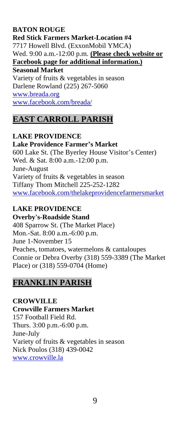#### **BATON ROUGE**

**Red Stick Farmers Market-Location #4** 7717 Howell Blvd. (ExxonMobil YMCA) Wed. 9:00 a.m.-12:00 p.m. **(Please check website or Facebook page for additional information.) Seasonal Market** Variety of fruits & vegetables in season Darlene Rowland (225) 267-5060

[www.breada.org](http://www.breada.org/)

<www.facebook.com/breada/>

# **EAST CARROLL PARISH**

# **LAKE PROVIDENCE**

**Lake Providence Farmer's Market** 600 Lake St. (The Byerley House Visitor's Center)

Wed. & Sat. 8:00 a.m.-12:00 p.m. June-August Variety of fruits & vegetables in season Tiffany Thom Mitchell 225-252-1282 [www.facebook.com/thelakeprovidencefarmersmarket](http://www.facebook.com/thelakeprovidencefarmersmarket)

# **LAKE PROVIDENCE**

**Overby's-Roadside Stand**

408 Sparrow St. (The Market Place) Mon.-Sat. 8:00 a.m.-6:00 p.m. June 1-November 15 Peaches, tomatoes, watermelons & cantaloupes Connie or Debra Overby (318) 559-3389 (The Market Place) or (318) 559-0704 (Home)

# **FRANKLIN PARISH**

# **CROWVILLE**

**Crowville Farmers Market** 157 Football Field Rd. Thurs. 3:00 p.m.-6:00 p.m. June-July Variety of fruits & vegetables in season Nick Poulos (318) 439-0042 [www.crowville.la](http://www.crowville.la/)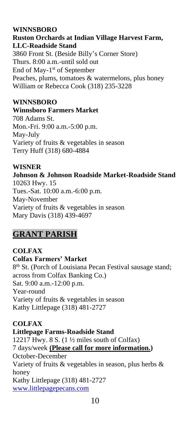### **WINNSBORO**

**Ruston Orchards at Indian Village Harvest Farm, LLC-Roadside Stand** 3860 Front St. (Beside Billy's Corner Store)

Thurs. 8:00 a.m.-until sold out End of May-1<sup>st</sup> of September Peaches, plums, tomatoes & watermelons, plus honey William or Rebecca Cook (318) 235-3228

#### **WINNSBORO**

#### **Winnsboro Farmers Market**

708 Adams St. Mon.-Fri. 9:00 a.m.-5:00 p.m. May-July Variety of fruits & vegetables in season Terry Huff (318) 680-4884

#### **WISNER**

**Johnson & Johnson Roadside Market-Roadside Stand** 10263 Hwy. 15 Tues.-Sat. 10:00 a.m.-6:00 p.m. May-November Variety of fruits & vegetables in season Mary Davis (318) 439-4697

# **GRANT PARISH**

**COLFAX Colfax Farmers' Market** 8<sup>th</sup> St. (Porch of Louisiana Pecan Festival sausage stand; across from Colfax Banking Co.) Sat. 9:00 a.m.-12:00 p.m. Year-round Variety of fruits & vegetables in season Kathy Littlepage (318) 481-2727

#### **COLFAX**

#### **Littlepage Farms-Roadside Stand**

12217 Hwy.  $8 S. (1 \frac{1}{2})$  miles south of Colfax) 7 days/week **(Please call for more information.)** October-December Variety of fruits & vegetables in season, plus herbs & honey Kathy Littlepage (318) 481-2727 [www.littlepagepecans.com](../Downloads/www.littlepagepecans.com)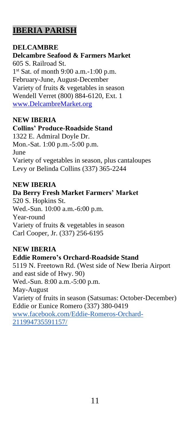# **IBERIA PARISH**

#### **DELCAMBRE**

**Delcambre Seafood & Farmers Market** 605 S. Railroad St. 1 st Sat. of month 9:00 a.m.-1:00 p.m. February-June, August-December Variety of fruits & vegetables in season Wendell Verret (800) 884-6120, Ext. 1 [www.DelcambreMarket.org](http://www.delcambremarket.org/)

#### **NEW IBERIA**

#### **Collins' Produce-Roadside Stand**

1322 E. Admiral Doyle Dr. Mon.-Sat. 1:00 p.m.-5:00 p.m. June Variety of vegetables in season, plus cantaloupes Levy or Belinda Collins (337) 365-2244

#### **NEW IBERIA**

#### **Da Berry Fresh Market Farmers' Market**

520 S. Hopkins St. Wed.-Sun. 10:00 a.m.-6:00 p.m. Year-round Variety of fruits & vegetables in season Carl Cooper, Jr. (337) 256-6195

# **NEW IBERIA**

#### **Eddie Romero's Orchard-Roadside Stand**

5119 N. Freetown Rd. (West side of New Iberia Airport and east side of Hwy. 90) Wed.-Sun. 8:00 a.m.-5:00 p.m. May-August Variety of fruits in season (Satsumas: October-December) Eddie or Eunice Romero (337) 380-0419 [www.facebook.com/Eddie-Romeros-Orchard-](https://www.facebook.com/Eddie-Romeros-Orchard-211994735591157/)[211994735591157/](https://www.facebook.com/Eddie-Romeros-Orchard-211994735591157/)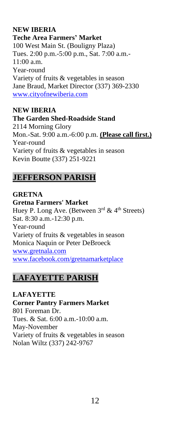### **NEW IBERIA**

**Teche Area Farmers' Market**

100 West Main St. (Bouligny Plaza) Tues. 2:00 p.m.-5:00 p.m., Sat. 7:00 a.m.- 11:00 a.m. Year-round Variety of fruits & vegetables in season Jane Braud, Market Director (337) 369-2330 [www.cityofnewiberia.com](http://www.cityofnewiberia.com/)

#### **NEW IBERIA**

#### **The Garden Shed-Roadside Stand**

2114 Morning Glory Mon.-Sat. 9:00 a.m.-6:00 p.m. **(Please call first.)** Year-round Variety of fruits & vegetables in season Kevin Boutte (337) 251-9221

# **JEFFERSON PARISH**

**GRETNA Gretna Farmers' Market** Huey P. Long Ave. (Between 3rd & 4th Streets) Sat. 8:30 a.m.-12:30 p.m. Year-round Variety of fruits & vegetables in season Monica Naquin or Peter DeBroeck [www.gretnala.com](http://www.gretnala.com/) [www.facebook.com/gretnamarketplace](http://www.facebook.com/gretnamarketplace)

# **LAFAYETTE PARISH**

**LAFAYETTE Corner Pantry Farmers Market** 801 Foreman Dr. Tues. & Sat. 6:00 a.m.-10:00 a.m. May-November Variety of fruits & vegetables in season Nolan Wiltz (337) 242-9767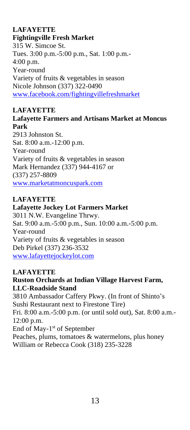# **LAFAYETTE**

#### **Fightingville Fresh Market**

315 W. Simcoe St. Tues. 3:00 p.m.-5:00 p.m., Sat. 1:00 p.m.- 4:00 p.m. Year-round Variety of fruits & vegetables in season Nicole Johnson (337) 322-0490 [www.facebook.com/fightingvillefreshmarket](http://www.facebook.com/fightingvillefreshmarket)

# **LAFAYETTE**

#### **Lafayette Farmers and Artisans Market at Moncus Park**

2913 Johnston St. Sat. 8:00 a.m.-12:00 p.m. Year-round Variety of fruits & vegetables in season Mark Hernandez (337) 944-4167 or (337) 257-8809 [www.marketatmoncuspark.com](http://www.marketatmoncuspark.com/)

#### **LAFAYETTE**

#### **Lafayette Jockey Lot Farmers Market**

3011 N.W. Evangeline Thrwy. Sat. 9:00 a.m.-5:00 p.m., Sun. 10:00 a.m.-5:00 p.m. Year-round Variety of fruits & vegetables in season Deb Pirkel (337) 236-3532 [www.lafayettejockeylot.com](http://www.lafayettejockeylot.com/)

# **LAFAYETTE**

#### **Ruston Orchards at Indian Village Harvest Farm, LLC-Roadside Stand**

3810 Ambassador Caffery Pkwy. (In front of Shinto's Sushi Restaurant next to Firestone Tire) Fri. 8:00 a.m.-5:00 p.m. (or until sold out), Sat. 8:00 a.m.- 12:00 p.m. End of May-1<sup>st</sup> of September Peaches, plums, tomatoes & watermelons, plus honey

William or Rebecca Cook (318) 235-3228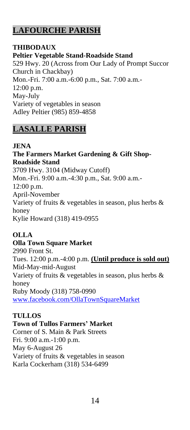# **LAFOURCHE PARISH**

#### **THIBODAUX Peltier Vegetable Stand-Roadside Stand** 529 Hwy. 20 (Across from Our Lady of Prompt Succor Church in Chackbay) Mon.-Fri. 7:00 a.m.-6:00 p.m., Sat. 7:00 a.m.- 12:00 p.m. May-July Variety of vegetables in season Adley Peltier (985) 859-4858

# **LASALLE PARISH**

# **JENA**

**The Farmers Market Gardening & Gift Shop-Roadside Stand** 3709 Hwy. 3104 (Midway Cutoff) Mon.-Fri. 9:00 a.m.-4:30 p.m., Sat. 9:00 a.m.- 12:00 p.m. April-November Variety of fruits & vegetables in season, plus herbs & honey Kylie Howard (318) 419-0955

# **OLLA**

# **Olla Town Square Market**

2990 Front St. Tues. 12:00 p.m.-4:00 p.m. **(Until produce is sold out)** Mid-May-mid-August Variety of fruits & vegetables in season, plus herbs & honey Ruby Moody (318) 758-0990 [www.facebook.com/OllaTownSquareMarket](http://www.facebook.com/OllaTownSquareMarket)

# **TULLOS**

**Town of Tullos Farmers' Market** Corner of S. Main & Park Streets Fri. 9:00 a.m.-1:00 p.m. May 6-August 26 Variety of fruits & vegetables in season Karla Cockerham (318) 534-6499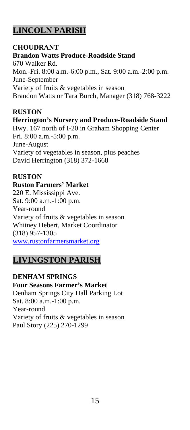# **LINCOLN PARISH**

#### **CHOUDRANT**

**Brandon Watts Produce-Roadside Stand** 670 Walker Rd. Mon.-Fri. 8:00 a.m.-6:00 p.m., Sat. 9:00 a.m.-2:00 p.m. June-September Variety of fruits & vegetables in season Brandon Watts or Tara Burch, Manager (318) 768-3222

# **RUSTON**

#### **Herrington's Nursery and Produce-Roadside Stand**

Hwy. 167 north of I-20 in Graham Shopping Center Fri. 8:00 a.m.-5:00 p.m. June-August Variety of vegetables in season, plus peaches David Herrington (318) 372-1668

# **RUSTON**

# **Ruston Farmers' Market**

220 E. Mississippi Ave. Sat. 9:00 a.m.-1:00 p.m. Year-round Variety of fruits & vegetables in season Whitney Hebert, Market Coordinator (318) 957-1305 [www.rustonfarmersmarket.org](http://www.rustonfarmersmarket.org/)

# **LIVINGSTON PARISH**

#### **DENHAM SPRINGS Four Seasons Farmer's Market** Denham Springs City Hall Parking Lot Sat. 8:00 a.m.-1:00 p.m. Year-round Variety of fruits & vegetables in season Paul Story (225) 270-1299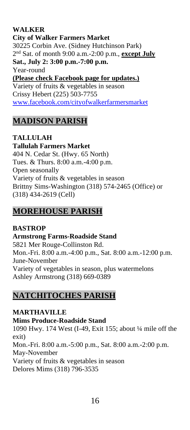# **WALKER**

**City of Walker Farmers Market** 30225 Corbin Ave. (Sidney Hutchinson Park) 2 nd Sat. of month 9:00 a.m.-2:00 p.m., **except July Sat., July 2: 3:00 p.m.-7:00 p.m.** Year-round **(Please check Facebook page for updates.)** Variety of fruits & vegetables in season Crissy Hebert (225) 503-7755 [www.facebook.com/cityofwalkerfarmersmarket](http://www.facebook.com/cityofwalkerfarmersmarket)

# **MADISON PARISH**

**TALLULAH Tallulah Farmers Market** 404 N. Cedar St. (Hwy. 65 North) Tues. & Thurs. 8:00 a.m.-4:00 p.m. Open seasonally Variety of fruits & vegetables in season Brittny Sims-Washington (318) 574-2465 (Office) or (318) 434-2619 (Cell)

# **MOREHOUSE PARISH**

#### **BASTROP Armstrong Farms-Roadside Stand** 5821 Mer Rouge-Collinston Rd. Mon.-Fri. 8:00 a.m.-4:00 p.m., Sat. 8:00 a.m.-12:00 p.m. June-November Variety of vegetables in season, plus watermelons Ashley Armstrong (318) 669-0389

# **NATCHITOCHES PARISH**

**MARTHAVILLE Mims Produce-Roadside Stand** 1090 Hwy. 174 West (I-49, Exit 155; about ¼ mile off the exit)

Mon.-Fri. 8:00 a.m.-5:00 p.m., Sat. 8:00 a.m.-2:00 p.m. May-November Variety of fruits & vegetables in season Delores Mims (318) 796-3535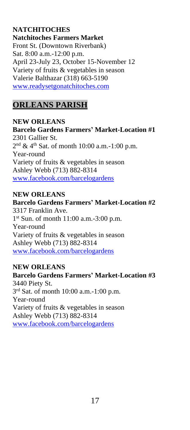# **NATCHITOCHES**

**Natchitoches Farmers Market** Front St. (Downtown Riverbank) Sat. 8:00 a.m.-12:00 p.m. April 23-July 23, October 15-November 12 Variety of fruits & vegetables in season Valerie Balthazar (318) 663-5190 [www.readysetgonatchitoches.com](http://www.readysetgonatchitoches.com/)

# **ORLEANS PARISH**

### **NEW ORLEANS Barcelo Gardens Farmers' Market-Location #1** 2301 Gallier St.  $2<sup>nd</sup>$  & 4<sup>th</sup> Sat. of month 10:00 a.m.-1:00 p.m. Year-round Variety of fruits & vegetables in season Ashley Webb (713) 882-8314 [www.facebook.com/barcelogardens](http://www.facebook.com/barcelogardens)

#### **NEW ORLEANS**

# **Barcelo Gardens Farmers' Market-Location #2** 3317 Franklin Ave. 1 st Sun. of month 11:00 a.m.-3:00 p.m. Year-round Variety of fruits & vegetables in season Ashley Webb (713) 882-8314 [www.facebook.com/barcelogardens](http://www.facebook.com/barcelogardens)

# **NEW ORLEANS**

**Barcelo Gardens Farmers' Market-Location #3** 3440 Piety St. 3 rd Sat. of month 10:00 a.m.-1:00 p.m. Year-round Variety of fruits & vegetables in season Ashley Webb (713) 882-8314 [www.facebook.com/barcelogardens](http://www.facebook.com/barcelogardens)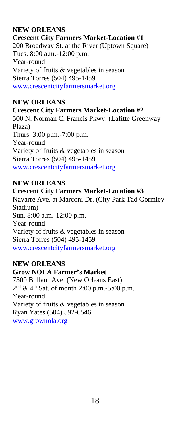# **NEW ORLEANS**

**Crescent City Farmers Market-Location #1** 200 Broadway St. at the River (Uptown Square) Tues. 8:00 a.m.-12:00 p.m. Year-round Variety of fruits & vegetables in season Sierra Torres (504) 495-1459 [www.crescentcityfarmersmarket.org](http://www.crescentcityfarmersmarket.org/)

#### **NEW ORLEANS**

#### **Crescent City Farmers Market-Location #2**

500 N. Norman C. Francis Pkwy. (Lafitte Greenway Plaza) Thurs. 3:00 p.m.-7:00 p.m. Year-round Variety of fruits & vegetables in season Sierra Torres (504) 495-1459 [www.crescentcityfarmersmarket.org](http://www.crescentcityfarmersmarket.org/)

#### **NEW ORLEANS**

#### **Crescent City Farmers Market-Location #3**

Navarre Ave. at Marconi Dr. (City Park Tad Gormley Stadium) Sun. 8:00 a.m.-12:00 p.m. Year-round Variety of fruits & vegetables in season Sierra Torres (504) 495-1459 [www.crescentcityfarmersmarket.org](http://www.crescentcityfarmersmarket.org/)

#### **NEW ORLEANS**

#### **Grow NOLA Farmer's Market**

7500 Bullard Ave. (New Orleans East)  $2<sup>nd</sup>$  & 4<sup>th</sup> Sat. of month 2:00 p.m.-5:00 p.m. Year-round Variety of fruits & vegetables in season Ryan Yates (504) 592-6546 [www.grownola.org](http://www.grownola.org/)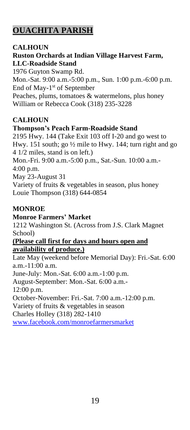# **OUACHITA PARISH**

# **CALHOUN**

#### **Ruston Orchards at Indian Village Harvest Farm, LLC-Roadside Stand**

1976 Guyton Swamp Rd. Mon.-Sat. 9:00 a.m.-5:00 p.m., Sun. 1:00 p.m.-6:00 p.m. End of May-1<sup>st</sup> of September Peaches, plums, tomatoes & watermelons, plus honey William or Rebecca Cook (318) 235-3228

# **CALHOUN**

# **Thompson's Peach Farm-Roadside Stand**

2195 Hwy. 144 (Take Exit 103 off I-20 and go west to Hwy. 151 south; go ½ mile to Hwy. 144; turn right and go 4 1/2 miles, stand is on left.) Mon.-Fri. 9:00 a.m.-5:00 p.m., Sat.-Sun. 10:00 a.m.- 4:00 p.m. May 23-August 31 Variety of fruits & vegetables in season, plus honey Louie Thompson (318) 644-0854

# **MONROE**

#### **Monroe Farmers' Market**

1212 Washington St. (Across from J.S. Clark Magnet School)

#### **(Please call first for days and hours open and availability of produce.)**

Late May (weekend before Memorial Day): Fri.-Sat. 6:00 a.m.-11:00 a.m. June-July: Mon.-Sat. 6:00 a.m.-1:00 p.m. August-September: Mon.-Sat. 6:00 a.m.- 12:00 p.m. October-November: Fri.-Sat. 7:00 a.m.-12:00 p.m. Variety of fruits & vegetables in season Charles Holley (318) 282-1410 [www.facebook.com/monroefarmersmarket](http://www.facebook.com/monroefarmersmarket)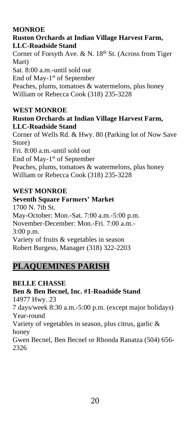# **MONROE**

# **Ruston Orchards at Indian Village Harvest Farm, LLC-Roadside Stand**

Corner of Forsyth Ave. & N.  $18<sup>th</sup>$  St. (Across from Tiger Mart) Sat. 8:00 a.m.-until sold out End of May-1<sup>st</sup> of September Peaches, plums, tomatoes & watermelons, plus honey William or Rebecca Cook (318) 235-3228

# **WEST MONROE**

# **Ruston Orchards at Indian Village Harvest Farm, LLC-Roadside Stand**

Corner of Wells Rd. & Hwy. 80 (Parking lot of Now Save Store) Fri. 8:00 a.m.-until sold out End of May-1<sup>st</sup> of September Peaches, plums, tomatoes & watermelons, plus honey William or Rebecca Cook (318) 235-3228

# **WEST MONROE**

# **Seventh Square Farmers' Market**

1700 N. 7th St. May-October: Mon.-Sat. 7:00 a.m.-5:00 p.m. November-December: Mon.-Fri. 7:00 a.m.- 3:00 p.m. Variety of fruits & vegetables in season Robert Burgess, Manager (318) 322-2203

# **PLAQUEMINES PARISH**

# **BELLE CHASSE**

**Ben & Ben Becnel, Inc. #1-Roadside Stand** 14977 Hwy. 23 7 days/week 8:30 a.m.-5:00 p.m. (except major holidays) Year-round Variety of vegetables in season, plus citrus, garlic & honey Gwen Becnel, Ben Becnel or Rhonda Ranatza (504) 656- 2326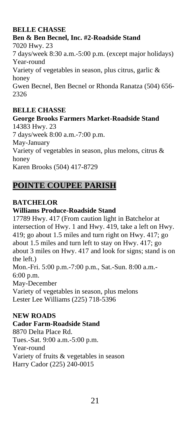# **BELLE CHASSE**

# **Ben & Ben Becnel, Inc. #2-Roadside Stand** 7020 Hwy. 23 7 days/week 8:30 a.m.-5:00 p.m. (except major holidays) Year-round Variety of vegetables in season, plus citrus, garlic & honey Gwen Becnel, Ben Becnel or Rhonda Ranatza (504) 656- 2326

# **BELLE CHASSE**

#### **George Brooks Farmers Market-Roadside Stand** 14383 Hwy. 23

7 days/week 8:00 a.m.-7:00 p.m. May-January Variety of vegetables in season, plus melons, citrus & honey Karen Brooks (504) 417-8729

# **POINTE COUPEE PARISH**

# **BATCHELOR**

# **Williams Produce-Roadside Stand**

17789 Hwy. 417 (From caution light in Batchelor at intersection of Hwy. 1 and Hwy. 419, take a left on Hwy. 419; go about 1.5 miles and turn right on Hwy. 417; go about 1.5 miles and turn left to stay on Hwy. 417; go about 3 miles on Hwy. 417 and look for signs; stand is on the left.) Mon.-Fri. 5:00 p.m.-7:00 p.m., Sat.-Sun. 8:00 a.m.- 6:00 p.m. May-December Variety of vegetables in season, plus melons Lester Lee Williams (225) 718-5396

#### **NEW ROADS**

#### **Cador Farm-Roadside Stand**

8870 Delta Place Rd. Tues.-Sat. 9:00 a.m.-5:00 p.m. Year-round Variety of fruits & vegetables in season Harry Cador (225) 240-0015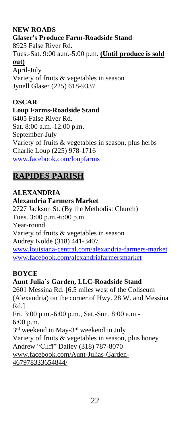# **NEW ROADS**

**Glaser's Produce Farm-Roadside Stand** 8925 False River Rd. Tues.-Sat. 9:00 a.m.-5:00 p.m. **(Until produce is sold out)** April-July Variety of fruits & vegetables in season Jynell Glaser (225) 618-9337

# **OSCAR**

**Loup Farms-Roadside Stand**

6405 False River Rd. Sat. 8:00 a.m.-12:00 p.m. September-July Variety of fruits & vegetables in season, plus herbs Charlie Loup (225) 978-1716 [www.facebook.com/loupfarms](http://www.facebook.com/loupfarms)

# **RAPIDES PARISH**

**ALEXANDRIA Alexandria Farmers Market** 2727 Jackson St. (By the Methodist Church) Tues. 3:00 p.m.-6:00 p.m. Year-round Variety of fruits & vegetables in season Audrey Kolde (318) 441-3407 [www.louisiana-central.com/alexandria-farmers-market](../Downloads/www.louisiana-central.com/alexandria-farmers-market) [www.facebook.com/alexandriafarmersmarket](http://www.inglewoodfarm.com/)

#### **BOYCE**

**Aunt Julia's Garden, LLC-Roadside Stand** 2601 Messina Rd. [6.5 miles west of the Coliseum (Alexandria) on the corner of Hwy. 28 W. and Messina Rd.] Fri. 3:00 p.m.-6:00 p.m., Sat.-Sun. 8:00 a.m.- 6:00 p.m. 3<sup>rd</sup> weekend in May-3<sup>rd</sup> weekend in July Variety of fruits & vegetables in season, plus honey Andrew "Cliff" Dailey (318) 787-8070 [www.facebook.com/Aunt-Julias-Garden-](http://www.facebook.com/Aunt-Julias-Garden-467978333654844/)[467978333654844/](http://www.facebook.com/Aunt-Julias-Garden-467978333654844/)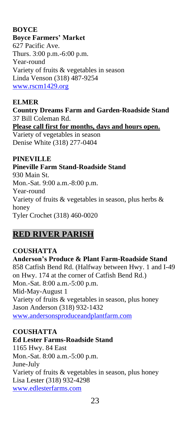# **BOYCE**

#### **Boyce Farmers' Market**

627 Pacific Ave. Thurs. 3:00 p.m.-6:00 p.m. Year-round Variety of fruits & vegetables in season Linda Venson (318) 487-9254 [www.rscm1429.org](http://www.rscm1429.org/)

# **ELMER**

**Country Dreams Farm and Garden-Roadside Stand** 37 Bill Coleman Rd.

**Please call first for months, days and hours open.**

Variety of vegetables in season Denise White (318) 277-0404

#### **PINEVILLE**

#### **Pineville Farm Stand-Roadside Stand**

930 Main St. Mon.-Sat. 9:00 a.m.-8:00 p.m. Year-round Variety of fruits & vegetables in season, plus herbs & honey Tyler Crochet (318) 460-0020

# **RED RIVER PARISH**

# **COUSHATTA**

**Anderson's Produce & Plant Farm-Roadside Stand** 858 Catfish Bend Rd. (Halfway between Hwy. 1 and I-49 on Hwy. 174 at the corner of Catfish Bend Rd.) Mon.-Sat. 8:00 a.m.-5:00 p.m. Mid-May-August 1 Variety of fruits & vegetables in season, plus honey Jason Anderson (318) 932-1432 [www.andersonsproduceandplantfarm.com](http://www.andersonsproduceandplantfarm.com/)

# **COUSHATTA**

# **Ed Lester Farms-Roadside Stand**

1165 Hwy. 84 East Mon.-Sat. 8:00 a.m.-5:00 p.m. June-July Variety of fruits & vegetables in season, plus honey Lisa Lester (318) 932-4298 [www.edlesterfarms.com](http://www.edlesterfarms.com/)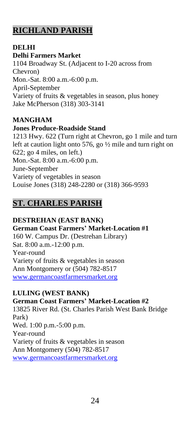# **RICHLAND PARISH**

# **DELHI**

#### **Delhi Farmers Market**

1104 Broadway St. (Adjacent to I-20 across from Chevron) Mon.-Sat. 8:00 a.m.-6:00 p.m. April-September Variety of fruits & vegetables in season, plus honey Jake McPherson (318) 303-3141

# **MANGHAM**

# **Jones Produce-Roadside Stand**

1213 Hwy. 622 (Turn right at Chevron, go 1 mile and turn left at caution light onto 576, go ½ mile and turn right on 622; go 4 miles, on left.) Mon.-Sat. 8:00 a.m.-6:00 p.m. June-September Variety of vegetables in season Louise Jones (318) 248-2280 or (318) 366-9593

# **ST. CHARLES PARISH**

# **DESTREHAN (EAST BANK)**

**German Coast Farmers' Market-Location #1** 160 W. Campus Dr. (Destrehan Library) Sat. 8:00 a.m.-12:00 p.m. Year-round Variety of fruits & vegetables in season Ann Montgomery or (504) 782-8517 [www.germancoastfarmersmarket.org](http://www.germancoastfarmersmarket.org/)

# **LULING (WEST BANK)**

**German Coast Farmers' Market-Location #2** 13825 River Rd. (St. Charles Parish West Bank Bridge Park) Wed. 1:00 p.m.-5:00 p.m. Year-round Variety of fruits & vegetables in season Ann Montgomery (504) 782-8517 [www.germancoastfarmersmarket.org](http://www.germancoastfarmersmarket.org/)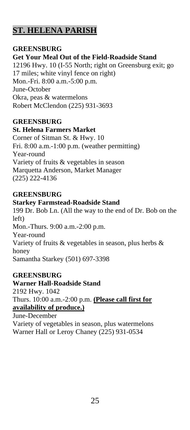# **ST. HELENA PARISH**

# **GREENSBURG**

# **Get Your Meal Out of the Field-Roadside Stand**

12196 Hwy. 10 (I-55 North; right on Greensburg exit; go 17 miles; white vinyl fence on right) Mon.-Fri. 8:00 a.m.-5:00 p.m. June-October Okra, peas & watermelons Robert McClendon (225) 931-3693

# **GREENSBURG**

#### **St. Helena Farmers Market**

Corner of Sitman St. & Hwy. 10 Fri. 8:00 a.m.-1:00 p.m. (weather permitting) Year-round Variety of fruits & vegetables in season Marquetta Anderson, Market Manager (225) 222-4136

#### **GREENSBURG**

#### **Starkey Farmstead-Roadside Stand**

199 Dr. Bob Ln. (All the way to the end of Dr. Bob on the left) Mon.-Thurs. 9:00 a.m.-2:00 p.m. Year-round Variety of fruits & vegetables in season, plus herbs & honey Samantha Starkey (501) 697-3398

# **GREENSBURG**

**Warner Hall-Roadside Stand** 2192 Hwy. 1042 Thurs. 10:00 a.m.-2:00 p.m. **(Please call first for availability of produce.)**

June-December Variety of vegetables in season, plus watermelons Warner Hall or Leroy Chaney (225) 931-0534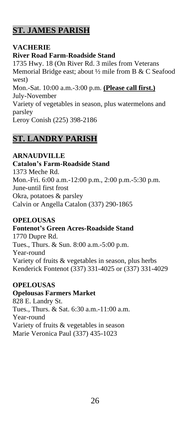# **ST. JAMES PARISH**

# **VACHERIE**

# **River Road Farm-Roadside Stand**

1735 Hwy. 18 (On River Rd. 3 miles from Veterans Memorial Bridge east; about ½ mile from B & C Seafood west) Mon.-Sat. 10:00 a.m.-3:00 p.m. **(Please call first.)** July-November Variety of vegetables in season, plus watermelons and parsley Leroy Conish (225) 398-2186

# **ST. LANDRY PARISH**

# **ARNAUDVILLE**

# **Catalon's Farm-Roadside Stand**

1373 Meche Rd. Mon.-Fri. 6:00 a.m.-12:00 p.m., 2:00 p.m.-5:30 p.m. June-until first frost Okra, potatoes & parsley Calvin or Angella Catalon (337) 290-1865

# **OPELOUSAS**

# **Fontenot's Green Acres-Roadside Stand**

1770 Dupre Rd. Tues., Thurs. & Sun. 8:00 a.m.-5:00 p.m. Year-round Variety of fruits & vegetables in season, plus herbs Kenderick Fontenot (337) 331-4025 or (337) 331-4029

# **OPELOUSAS**

#### **Opelousas Farmers Market**

828 E. Landry St. Tues., Thurs. & Sat. 6:30 a.m.-11:00 a.m. Year-round Variety of fruits & vegetables in season Marie Veronica Paul (337) 435-1023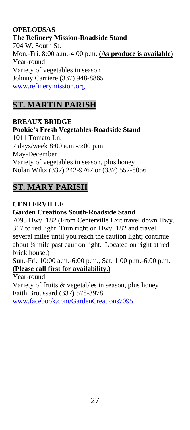# **OPELOUSAS**

**The Refinery Mission-Roadside Stand** 704 W. South St. Mon.-Fri. 8:00 a.m.-4:00 p.m. **(As produce is available)** Year-round Variety of vegetables in season Johnny Carriere (337) 948-8865 [www.refinerymission.org](http://www.refinerymission.org/)

# **ST. MARTIN PARISH**

# **BREAUX BRIDGE**

**Pookie's Fresh Vegetables-Roadside Stand** 1011 Tomato Ln. 7 days/week 8:00 a.m.-5:00 p.m. May-December Variety of vegetables in season, plus honey Nolan Wiltz (337) 242-9767 or (337) 552-8056

# **ST. MARY PARISH**

**CENTERVILLE Garden Creations South-Roadside Stand** 7095 Hwy. 182 (From Centerville Exit travel down Hwy. 317 to red light. Turn right on Hwy. 182 and travel several miles until you reach the caution light; continue about ¼ mile past caution light. Located on right at red brick house.)

Sun.-Fri. 10:00 a.m.-6:00 p.m., Sat. 1:00 p.m.-6:00 p.m. **(Please call first for availability.)**

Year-round Variety of fruits & vegetables in season, plus honey Faith Broussard (337) 578-3978 [www.facebook.com/GardenCreations7095](http://www.facebook.com/GardenCreations7095)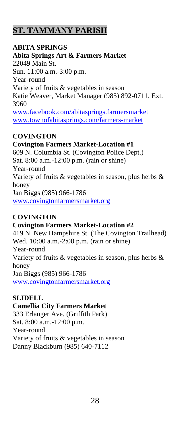# **ST. TAMMANY PARISH**

# **ABITA SPRINGS**

**Abita Springs Art & Farmers Market** 22049 Main St. Sun. 11:00 a.m.-3:00 p.m. Year-round Variety of fruits & vegetables in season Katie Weaver, Market Manager (985) 892-0711, Ext. 3960 [www.facebook.com/abitasprings.farmersmarket](http://www.facebook.com/abitasprings.farmersmarket) [www.townofabitasprings.com/farmers-market](http://www.townofabitasprings.com/farmers-market)

# **COVINGTON**

# **Covington Farmers Market-Location #1**

609 N. Columbia St. (Covington Police Dept.) Sat. 8:00 a.m.-12:00 p.m. (rain or shine) Year-round Variety of fruits & vegetables in season, plus herbs & honey Jan Biggs (985) 966-1786 [www.covingtonfarmersmarket.org](http://www.covingtonfarmersmarket.org/)

# **COVINGTON**

**Covington Farmers Market-Location #2** 419 N. New Hampshire St. (The Covington Trailhead) Wed. 10:00 a.m.-2:00 p.m. (rain or shine) Year-round Variety of fruits  $\&$  vegetables in season, plus herbs  $\&$ honey Jan Biggs (985) 966-1786 [www.covingtonfarmersmarket.org](http://www.covingtonfarmersmarket.org/)

# **SLIDELL**

#### **Camellia City Farmers Market**

333 Erlanger Ave. (Griffith Park) Sat. 8:00 a.m.-12:00 p.m. Year-round Variety of fruits & vegetables in season Danny Blackburn (985) 640-7112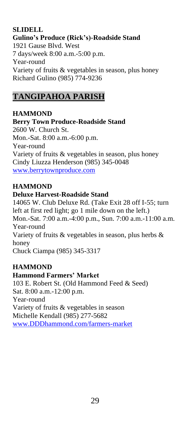#### **SLIDELL Gulino's Produce (Rick's)-Roadside Stand** 1921 Gause Blvd. West 7 days/week 8:00 a.m.-5:00 p.m. Year-round Variety of fruits & vegetables in season, plus honey Richard Gulino (985) 774-9236

# **TANGIPAHOA PARISH**

**HAMMOND Berry Town Produce-Roadside Stand** 2600 W. Church St. Mon.-Sat. 8:00 a.m.-6:00 p.m. Year-round Variety of fruits & vegetables in season, plus honey Cindy Liuzza Henderson (985) 345-0048 [www.berrytownproduce.com](http://www.berrytownproduce.com/)

# **HAMMOND**

#### **Deluxe Harvest-Roadside Stand**

14065 W. Club Deluxe Rd. (Take Exit 28 off I-55; turn left at first red light; go 1 mile down on the left.) Mon.-Sat. 7:00 a.m.-4:00 p.m., Sun. 7:00 a.m.-11:00 a.m. Year-round Variety of fruits & vegetables in season, plus herbs & honey Chuck Ciampa (985) 345-3317

# **HAMMOND**

#### **Hammond Farmers' Market**

103 E. Robert St. (Old Hammond Feed & Seed) Sat. 8:00 a.m.-12:00 p.m. Year-round Variety of fruits & vegetables in season Michelle Kendall (985) 277-5682 [www.DDDhammond.com/farmers-market](http://www.dddhammond.com/farmers-market)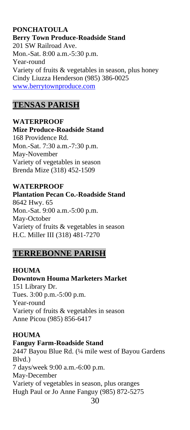### **PONCHATOULA Berry Town Produce-Roadside Stand** 201 SW Railroad Ave. Mon.-Sat. 8:00 a.m.-5:30 p.m. Year-round Variety of fruits & vegetables in season, plus honey Cindy Liuzza Henderson (985) 386-0025 [www.berrytownproduce.com](http://www.berrytownproduce.com/)

# **TENSAS PARISH**

**WATERPROOF Mize Produce-Roadside Stand** 168 Providence Rd. Mon.-Sat. 7:30 a.m.-7:30 p.m. May-November Variety of vegetables in season Brenda Mize (318) 452-1509

**WATERPROOF Plantation Pecan Co.-Roadside Stand** 8642 Hwy. 65 Mon.-Sat. 9:00 a.m.-5:00 p.m. May-October Variety of fruits & vegetables in season H.C. Miller III (318) 481-7270

# **TERREBONNE PARISH**

**HOUMA Downtown Houma Marketers Market** 151 Library Dr. Tues. 3:00 p.m.-5:00 p.m. Year-round Variety of fruits & vegetables in season Anne Picou (985) 856-6417

#### **HOUMA**

#### **Fanguy Farm-Roadside Stand**

2447 Bayou Blue Rd. (¼ mile west of Bayou Gardens Blvd.) 7 days/week 9:00 a.m.-6:00 p.m. May-December Variety of vegetables in season, plus oranges Hugh Paul or Jo Anne Fanguy (985) 872-5275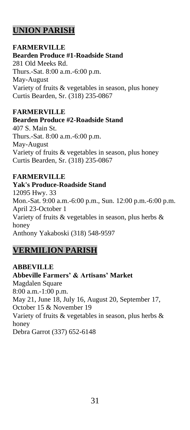# **UNION PARISH**

#### **FARMERVILLE**

### **Bearden Produce #1-Roadside Stand**

281 Old Meeks Rd. Thurs.-Sat. 8:00 a.m.-6:00 p.m. May-August Variety of fruits & vegetables in season, plus honey Curtis Bearden, Sr. (318) 235-0867

#### **FARMERVILLE**

#### **Bearden Produce #2-Roadside Stand**

407 S. Main St. Thurs.-Sat. 8:00 a.m.-6:00 p.m. May-August Variety of fruits & vegetables in season, plus honey Curtis Bearden, Sr. (318) 235-0867

# **FARMERVILLE**

#### **Yak's Produce-Roadside Stand**

12095 Hwy. 33 Mon.-Sat. 9:00 a.m.-6:00 p.m., Sun. 12:00 p.m.-6:00 p.m. April 23-October 1 Variety of fruits & vegetables in season, plus herbs & honey Anthony Yakaboski (318) 548-9597

# **VERMILION PARISH**

**ABBEVILLE Abbeville Farmers' & Artisans' Market** Magdalen Square 8:00 a.m.-1:00 p.m. May 21, June 18, July 16, August 20, September 17, October 15 & November 19 Variety of fruits & vegetables in season, plus herbs & honey Debra Garrot (337) 652-6148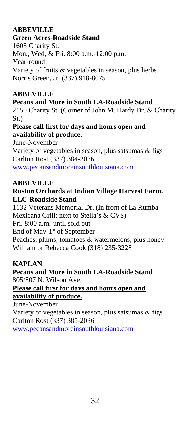# **ABBEVILLE**

### **Green Acres-Roadside Stand**

1603 Charity St. Mon., Wed, & Fri. 8:00 a.m.-12:00 p.m. Year-round Variety of fruits & vegetables in season, plus herbs Norris Green, Jr. (337) 918-8075

# **ABBEVILLE**

#### **Pecans and More in South LA-Roadside Stand**

2150 Charity St. (Corner of John M. Hardy Dr. & Charity St.)

#### **Please call first for days and hours open and availability of produce.**

June-November Variety of vegetables in season, plus satsumas & figs Carlton Rost (337) 384-2036 [www.pecansandmoreinsouthlouisiana.com](http://www.pecansandmoreinsouthlouisiana.com/)

#### **ABBEVILLE**

#### **Ruston Orchards at Indian Village Harvest Farm, LLC-Roadside Stand**

1132 Veterans Memorial Dr. (In front of La Rumba Mexicana Grill; next to Stella's & CVS) Fri. 8:00 a.m.-until sold out End of May-1<sup>st</sup> of September Peaches, plums, tomatoes & watermelons, plus honey William or Rebecca Cook (318) 235-3228

# **KAPLAN**

**Pecans and More in South LA-Roadside Stand** 805/807 N. Wilson Ave.

### **Please call first for days and hours open and availability of produce.**

June-November Variety of vegetables in season, plus satsumas & figs Carlton Rost (337) 385-2036 [www.pecansandmoreinsouthlouisiana.com](http://www.pecansandmoreinsouthlouisiana.com/)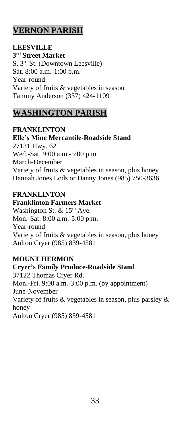# **VERNON PARISH**

**LEESVILLE 3 rd Street Market** S. 3rd St. (Downtown Leesville) Sat. 8:00 a.m.-1:00 p.m. Year-round Variety of fruits & vegetables in season Tammy Anderson (337) 424-1109

# **WASHINGTON PARISH**

#### **FRANKLINTON**

**Elle's Mine Mercantile-Roadside Stand** 27131 Hwy. 62 Wed.-Sat. 9:00 a.m.-5:00 p.m. March-December Variety of fruits & vegetables in season, plus honey Hannah Jones Lods or Danny Jones (985) 750-3636

# **FRANKLINTON**

#### **Franklinton Farmers Market**

Washington St. &  $15<sup>th</sup>$  Ave. Mon.-Sat. 8:00 a.m.-5:00 p.m. Year-round Variety of fruits & vegetables in season, plus honey Aulton Cryer (985) 839-4581

# **MOUNT HERMON**

**Cryer's Family Produce-Roadside Stand** 37122 Thomas Cryer Rd. Mon.-Fri. 9:00 a.m.-3:00 p.m. (by appointment) June-November Variety of fruits & vegetables in season, plus parsley & honey Aulton Cryer (985) 839-4581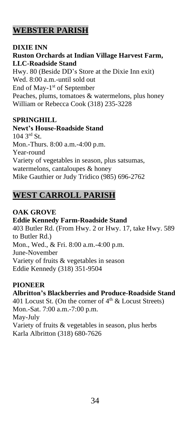# **WEBSTER PARISH**

### **DIXIE INN**

# **Ruston Orchards at Indian Village Harvest Farm, LLC-Roadside Stand**

Hwy. 80 (Beside DD's Store at the Dixie Inn exit) Wed. 8:00 a.m.-until sold out End of May-1<sup>st</sup> of September Peaches, plums, tomatoes & watermelons, plus honey William or Rebecca Cook (318) 235-3228

# **SPRINGHILL**

**Newt's House-Roadside Stand** 104 3rd St. Mon.-Thurs. 8:00 a.m.-4:00 p.m. Year-round Variety of vegetables in season, plus satsumas, watermelons, cantaloupes & honey Mike Gauthier or Judy Tridico (985) 696-2762

# **WEST CARROLL PARISH**

# **OAK GROVE**

# **Eddie Kennedy Farm-Roadside Stand**

403 Butler Rd. (From Hwy. 2 or Hwy. 17, take Hwy. 589 to Butler Rd.) Mon., Wed., & Fri. 8:00 a.m.-4:00 p.m. June-November Variety of fruits & vegetables in season Eddie Kennedy (318) 351-9504

# **PIONEER**

# **Albritton's Blackberries and Produce-Roadside Stand**

401 Locust St. (On the corner of  $4<sup>th</sup>$  & Locust Streets) Mon.-Sat. 7:00 a.m.-7:00 p.m. May-July Variety of fruits & vegetables in season, plus herbs Karla Albritton (318) 680-7626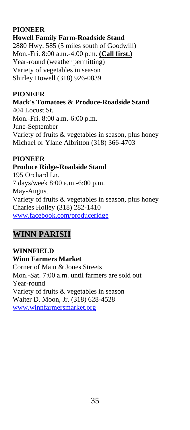# **PIONEER**

**Howell Family Farm-Roadside Stand** 2880 Hwy. 585 (5 miles south of Goodwill) Mon.-Fri. 8:00 a.m.-4:00 p.m. **(Call first.)** Year-round (weather permitting) Variety of vegetables in season Shirley Howell (318) 926-0839

### **PIONEER**

**Mack's Tomatoes & Produce-Roadside Stand** 404 Locust St. Mon.-Fri. 8:00 a.m.-6:00 p.m. June-September Variety of fruits & vegetables in season, plus honey Michael or Ylane Albritton (318) 366-4703

# **PIONEER**

# **Produce Ridge-Roadside Stand**

195 Orchard Ln. 7 days/week 8:00 a.m.-6:00 p.m. May-August Variety of fruits & vegetables in season, plus honey Charles Holley (318) 282-1410 [www.facebook.com/produceridge](http://www.facebook.com/produceridge)

# **WINN PARISH**

**WINNFIELD Winn Farmers Market** Corner of Main & Jones Streets Mon.-Sat. 7:00 a.m. until farmers are sold out Year-round Variety of fruits & vegetables in season Walter D. Moon, Jr. (318) 628-4528 [www.winnfarmersmarket.org](http://www.winnfarmersmarket.org/)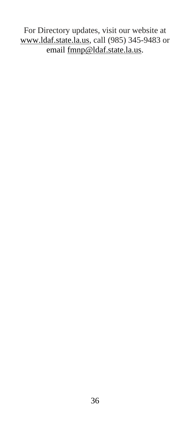For Directory updates, visit our website at [www.ldaf.state.la.us,](http://www.ldaf.state.la.us/) call (985) 345-9483 or email  $fmp@ldaf.state.la.us.$ </u>